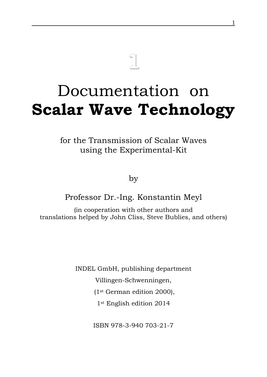

# Documentation on **Scalar Wave Technology**

for the Transmission of Scalar Waves using the Experimental-Kit

by

## Professor Dr.-Ing. Konstantin Meyl

(in cooperation with other authors and translations helped by John Cliss, Steve Bublies, and others)

INDEL GmbH, publishing department

Villingen-Schwenningen,

(1st German edition 2000),

1st English edition 2014

ISBN 978-3-940 703-21-7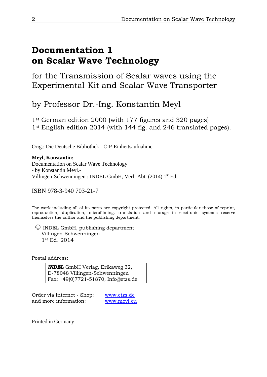## **Documentation 1 on Scalar Wave Technology**

for the Transmission of Scalar waves using the Experimental-Kit and Scalar Wave Transporter

by Professor Dr.-Ing. Konstantin Meyl

1<sup>st</sup> German edition 2000 (with 177 figures and 320 pages) 1<sup>st</sup> English edition 2014 (with 144 fig. and 246 translated pages).

Orig.: Die Deutsche Bibliothek - CIP-Einheitsaufnahme

**Meyl, Konstantin:** Documentation on Scalar Wave Technology - by Konstantin Meyl.- Villingen-Schwenningen : INDEL GmbH, Verl.-Abt. (2014) 1<sup>st</sup> Ed.

ISBN 978-3-940 703-21-7

The work including all of its parts are copyright protected. All rights, in particular those of reprint, reproduction, duplication, microfilming, translation and storage in electronic systems reserve themselves the author and the publishing department.

 $\circ$  INDEL GmbH, publishing department Villingen-Schwenningen 1st Ed. 2014

Postal address:

*INDEL* GmbH Verlag, Erikaweg 32, D-78048 Villingen-Schwenningen Fax: +49(0)7721-51870, Info@etzs.de

Order via Internet - Shop: [www.etzs.de](http://www.etzs.de/) and more information: [www.meyl.eu](http://www.meyl.eu/)

Printed in Germany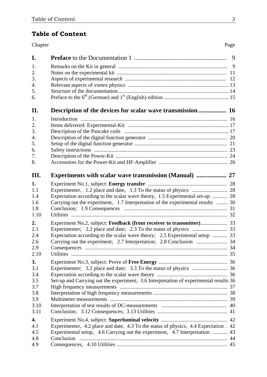### **Table of Content**

#### Chapter Page

| I.   |                                                                                       |  |
|------|---------------------------------------------------------------------------------------|--|
| 1.   |                                                                                       |  |
| 2.   |                                                                                       |  |
| 3.   |                                                                                       |  |
| 4.   |                                                                                       |  |
| 5.   |                                                                                       |  |
| 6.   |                                                                                       |  |
| II.  |                                                                                       |  |
| 1.   |                                                                                       |  |
| 2.   |                                                                                       |  |
| 3.   |                                                                                       |  |
| 4.   |                                                                                       |  |
| 5.   |                                                                                       |  |
| 6.   |                                                                                       |  |
| 7.   |                                                                                       |  |
| 8.   |                                                                                       |  |
| Ш.   | <b>Experiments with scalar wave transmission (Manual) </b> 27                         |  |
| 1.   |                                                                                       |  |
| 1.1  |                                                                                       |  |
| 1.4  | Expectation according to the scalar wave theory, 1.5 Experimental set-up  28          |  |
| 1.6  | Carrying out the experiment, 1.7 Interpretation of the experimental results  30       |  |
| 1.8  |                                                                                       |  |
| 1.10 |                                                                                       |  |
| 2.   |                                                                                       |  |
| 2.1  |                                                                                       |  |
| 2.4  | Expectation according to the scalar wave theory; 2.5 Experimental setup  33           |  |
| 2.6  |                                                                                       |  |
| 2.9  |                                                                                       |  |
| 2.10 |                                                                                       |  |
| 3.   |                                                                                       |  |
| 3.1  |                                                                                       |  |
| 3.4  |                                                                                       |  |
| 3.5  | Set-up and Carrying out the experiment; 3.6 Interpretation of experimental results 36 |  |
| 3.7  |                                                                                       |  |
| 3.8  |                                                                                       |  |
| 3.9  |                                                                                       |  |
| 3.10 |                                                                                       |  |
| 3.11 |                                                                                       |  |
| 4.   |                                                                                       |  |
| 4.1  | Experimenter, 4.2 place and date, 4.3 To the status of physics, 4.4 Expectation . 42  |  |
| 4.5  | Experimental setup, 4.6 Carrying out the experiment, 4.7 Interpretation  43           |  |
| 4.8  |                                                                                       |  |
| 4.9  |                                                                                       |  |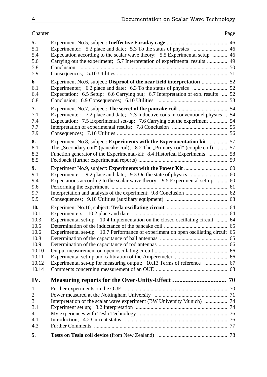| Chapter                                                                                 |                                                                                                                                                                                                                                                | Page |
|-----------------------------------------------------------------------------------------|------------------------------------------------------------------------------------------------------------------------------------------------------------------------------------------------------------------------------------------------|------|
| 5.<br>5.1<br>5.4<br>5.6<br>5.8<br>5.9                                                   | Experimenter; 5.2 place and date; 5.3 To the status of physics  46<br>Expectation according to the scalar wave theory; 5.5 Experimental setup  46<br>Carrying out the experiment; 5.7 Interpretation of experimental results  49               |      |
| 6<br>6.1<br>6.4<br>6.8                                                                  | Expectation; 6.5 Setup; 6.6 Carrying out; 6.7 Interpretation of exp. results  52                                                                                                                                                               |      |
| 7.<br>7.1<br>7.4<br>7.7<br>7.9                                                          | Experimenter; 7.2 place and date; 7.3 Inductive coils in conventionel physics . 54<br>Expectation; 7.5 Experimental set-up; 7.6 Carrying out the experiment  54                                                                                |      |
| 8.<br>8.1<br>8.3<br>8.5                                                                 | Experiment No.8, subject: Experiments with the Experimentation kit  57<br>The "Secondary coil" (pancake coil); 8.2 The "Primary coil" (couple coil)  57<br>Function generator of the Experimental-kit; 8.4 Historical Experiments  58          |      |
| 9.<br>9.1<br>9.4<br>9.6<br>9.7<br>9.9                                                   | Expectations according to the scalar wave theory; 9.5 Experimental set-up  60<br>Interpretation and analysis of the experiment; 9.8 Conclusion  62                                                                                             |      |
| 10.<br>10.1<br>10.3<br>10.5<br>10.6<br>10.8<br>10.9<br>10.10<br>10.11<br>10.12<br>10.14 | Experimental set-up; 10.4 Implementation on the closed oscillating circuit  64<br>Experimental set-up; 10.7 Performance of experiment on open oscillating circuit 65<br>Experimental set-up for measuring output; 10.13 Terms of reference  67 |      |
| IV.                                                                                     |                                                                                                                                                                                                                                                |      |
| 1.<br>$\overline{2}$<br>3<br>3.1<br>4.<br>4.1<br>4.3                                    | Interpretation of the scalar wave experiment (BW University Munich)  74                                                                                                                                                                        |      |
| 5.                                                                                      |                                                                                                                                                                                                                                                |      |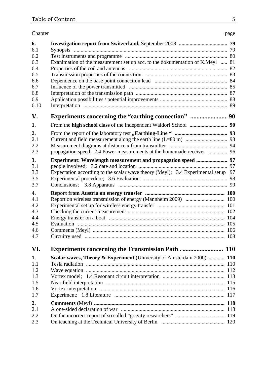| Chapter                                                                                                      |                                                                                                                                                                                                                             | page |
|--------------------------------------------------------------------------------------------------------------|-----------------------------------------------------------------------------------------------------------------------------------------------------------------------------------------------------------------------------|------|
| 6.<br>6.1<br>6.2<br>6.3<br>6.4<br>6.5<br>6.6<br>6.7<br>6.8<br>6.9<br>6.10                                    | Exanimation of the measurement set up acc. to the dokumentation of K.Meyl  81                                                                                                                                               |      |
| V.                                                                                                           |                                                                                                                                                                                                                             |      |
| 1.                                                                                                           |                                                                                                                                                                                                                             |      |
| 2.<br>2.1<br>2.2<br>2.3<br>3.<br>3.1<br>3.3<br>3.5<br>3.7<br>$\mathbf{4}$<br>4.1<br>4.2<br>4.3<br>4.4<br>4.5 | propagation speed; 2.4 Power measurements at the homemade receiver  96<br>Experiment: Wavelength measurement and propagation speed  97<br>Expectation according to the scalar wave theory (Meyl); 3.4 Experimental setup 97 |      |
| 4.6                                                                                                          |                                                                                                                                                                                                                             |      |
| 4.7<br>VI.<br>1.<br>1.1<br>1.2<br>1.3<br>1.5<br>1.6<br>1.7                                                   | Scalar waves, Theory & Experiment (University of Amsterdam 2000)  110                                                                                                                                                       |      |
| 2.<br>2.1<br>2.2<br>2.3                                                                                      |                                                                                                                                                                                                                             |      |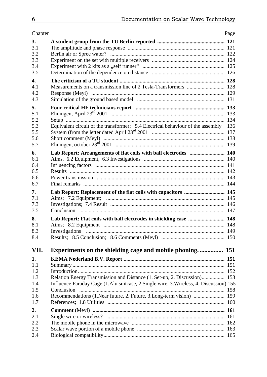| Chapter    |                                                                                       | Page |
|------------|---------------------------------------------------------------------------------------|------|
| <b>3.</b>  |                                                                                       |      |
| 3.1        |                                                                                       |      |
| 3.2        |                                                                                       |      |
| 3.3        |                                                                                       |      |
| 3.4        |                                                                                       |      |
| 3.5        |                                                                                       |      |
| 4.         |                                                                                       |      |
| 4.1        |                                                                                       |      |
| 4.2        |                                                                                       |      |
| 4.3        |                                                                                       |      |
| 5.         |                                                                                       |      |
| 5.1        |                                                                                       |      |
| 5.2        |                                                                                       |      |
| 5.3        | Equivalent circuit of the transformer; 5.4 Electrical behaviour of the assembly 136   |      |
| 5.5        |                                                                                       |      |
| 5.6        |                                                                                       |      |
| 5.7        |                                                                                       |      |
| 6.         | Lab Report: Arrangements of flat coils with ball electrodes  140                      |      |
| 6.1        |                                                                                       |      |
| 6.4        |                                                                                       |      |
| 6.5        |                                                                                       |      |
| 6.6        |                                                                                       |      |
| 6.7        |                                                                                       |      |
| 7.         |                                                                                       |      |
| 7.1        |                                                                                       |      |
| 7.3        |                                                                                       |      |
| 7.5        |                                                                                       |      |
|            |                                                                                       |      |
| 8.         | Lab Report: Flat coils with ball electrodes in shielding case  148                    |      |
| 8.1<br>8.3 |                                                                                       |      |
| 8.4        |                                                                                       |      |
|            |                                                                                       |      |
| VII.       | Experiments on the shielding cage and mobile phoning 151                              |      |
|            |                                                                                       |      |
| 1.         |                                                                                       |      |
| 1.1        |                                                                                       |      |
| 1.2        |                                                                                       |      |
| 1.3        | Relation Energy Transmission and Distance (1. Set-up, 2. Discussion) 153              |      |
| 1.4        | Influence Faraday Cage (1.Alu suitcase, 2.Single wire, 3.Wireless, 4. Discussion) 155 |      |
| 1.5        |                                                                                       |      |
| 1.6        | Recommendations (1. Near future, 2. Future, 3. Long-term vision)  159                 |      |
| 1.7        |                                                                                       |      |
| 2.         |                                                                                       |      |
| 2.1        |                                                                                       |      |
| 2.2        |                                                                                       |      |
| 2.3        |                                                                                       |      |
| 2.4        |                                                                                       |      |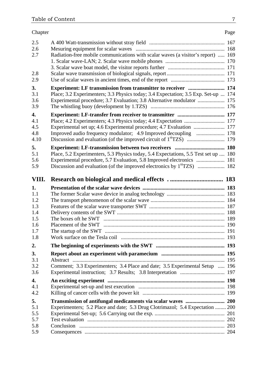| ٧ |
|---|
|   |

| Chapter                 |                                                                                                                                                                                                                               | Page |
|-------------------------|-------------------------------------------------------------------------------------------------------------------------------------------------------------------------------------------------------------------------------|------|
| 2.5<br>2.6<br>2.7       | Radiation-free mobile communications with scalar waves (a visitor's report)  169                                                                                                                                              |      |
|                         |                                                                                                                                                                                                                               |      |
| 2.8<br>2.9              |                                                                                                                                                                                                                               |      |
| 3.<br>3.1<br>3.6<br>3.9 | Experiment: LF transmission from transmitter to receiver  174<br>Place; 3.2 Experimenters; 3.3 Physics today; 3.4 Expectation; 3.5 Exp. Set-up  174<br>Experimental procedure; 3.7 Evaluation; 3.8 Alternative modulator  175 |      |
| 4.                      |                                                                                                                                                                                                                               |      |
| 4.1<br>4.5<br>4.8       |                                                                                                                                                                                                                               |      |
| 4.10                    |                                                                                                                                                                                                                               |      |
| 5.<br>5.1<br>5.6<br>5.9 | Place, 5.2 Experimenters, 5.3 Physics today, 5.4 Expectations, 5.5 Test set up  180                                                                                                                                           |      |
| VIII.                   |                                                                                                                                                                                                                               |      |
|                         |                                                                                                                                                                                                                               |      |
| 1.                      |                                                                                                                                                                                                                               |      |
| 1.1                     |                                                                                                                                                                                                                               |      |
| 1.2                     |                                                                                                                                                                                                                               |      |
| 1.3                     |                                                                                                                                                                                                                               |      |
| 1.4                     |                                                                                                                                                                                                                               |      |
| 1.5<br>1.6              |                                                                                                                                                                                                                               |      |
| 1.7                     |                                                                                                                                                                                                                               |      |
| 1.8                     |                                                                                                                                                                                                                               |      |
| 2.                      |                                                                                                                                                                                                                               |      |
| 3.                      |                                                                                                                                                                                                                               |      |
| 3.1<br>3.2<br>3.6       | Comment; 3.3 Experimenters; 3.4 Place and date; 3.5 Experimental Setup  196                                                                                                                                                   |      |
| 4.                      |                                                                                                                                                                                                                               |      |
| 4.1<br>4.2              |                                                                                                                                                                                                                               |      |
| 5.                      |                                                                                                                                                                                                                               |      |
| 5.1                     | Experimenters; 5.2 Place and date; 5.3 Drug Clotrimazol; 5.4 Expectation  200                                                                                                                                                 |      |
| 5.5                     |                                                                                                                                                                                                                               |      |
| 5.7                     |                                                                                                                                                                                                                               |      |
| 5.8<br>5.9              |                                                                                                                                                                                                                               |      |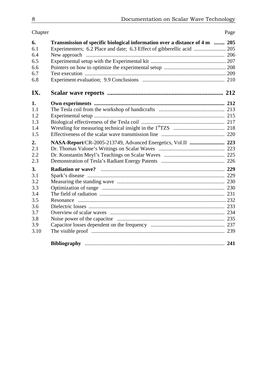| Chapter   |                                                                                                                                                       | Page |
|-----------|-------------------------------------------------------------------------------------------------------------------------------------------------------|------|
| 6.<br>6.1 | Transmission of specific biological information over a distance of 4 m  205<br>Experimenters; 6.2 Place and date; 6.3 Effect of gibberellic acid  205 |      |
| 6.4       |                                                                                                                                                       |      |
| 6.5       |                                                                                                                                                       |      |
| 6.6       |                                                                                                                                                       |      |
| 6.7       |                                                                                                                                                       |      |
| 6.8       |                                                                                                                                                       |      |
| IX.       |                                                                                                                                                       |      |
| 1.        |                                                                                                                                                       |      |
| 1.1       |                                                                                                                                                       |      |
| 1.2       |                                                                                                                                                       |      |
| 1.3       |                                                                                                                                                       |      |
| 1.4       |                                                                                                                                                       |      |
| 1.5       |                                                                                                                                                       |      |
| 2.        | NASA-Report/CR-2005-213749, Advanced Energetics, Vol.II  223                                                                                          |      |
| 2.1       |                                                                                                                                                       |      |
| 2.2       |                                                                                                                                                       |      |
| 2.3       |                                                                                                                                                       |      |
| <b>3.</b> |                                                                                                                                                       |      |
| 3.1       |                                                                                                                                                       |      |
| 3.2       |                                                                                                                                                       |      |
| 3.3       |                                                                                                                                                       |      |
| 3.4       |                                                                                                                                                       |      |
| 3.5       |                                                                                                                                                       |      |
| 3.6       |                                                                                                                                                       |      |
| 3.7       |                                                                                                                                                       |      |
| 3.8       |                                                                                                                                                       |      |
| 3.9       |                                                                                                                                                       |      |
| 3.10      |                                                                                                                                                       |      |
|           |                                                                                                                                                       |      |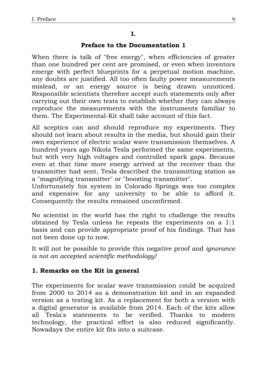#### **Preface to the Documentation 1**

When there is talk of "free energy", when efficiencies of greater than one hundred per cent are promised, or even when inventors emerge with perfect blueprints for a perpetual motion machine, any doubts are justified. All too often faulty power measurements mislead, or an energy source is being drawn unnoticed. Responsible scientists therefore accept such statements only after carrying out their own tests to establish whether they can always reproduce the measurements with the instruments familiar to them. The Experimental-Kit shall take account of this fact.

All sceptics can and should reproduce my experiments. They should not learn about results in the media, but should gain their own experience of electric scalar wave transmission themselves. A hundred years ago Nikola Tesla performed the same experiments, but with very high voltages and controlled spark gaps. Because even at that time more energy arrived at the receiver than the transmitter had sent, Tesla described the transmitting station as a "magnifying transmitter" or "boosting transmitter".

Unfortunately his system in Colorado Springs was too complex and expensive for any university to be able to afford it. Consequently the results remained unconfirmed.

No scientist in the world has the right to challenge the results obtained by Tesla unless he repeats the experiments on a 1:1 basis and can provide appropriate proof of his findings. That has not been done up to now.

It will not be possible to provide this negative proof and *ignorance is not an accepted scientific methodology!*

#### **1. Remarks on the Kit in general**

The experiments for scalar wave transmission could be acquired from 2000 to 2014 as a demonstration kit and in an expanded version as a testing kit. As a replacement for both a version with a digital generator is available from 2014. Each of the kits allow all Tesla's statements to be verified. Thanks to modern technology, the practical effort is also reduced significantly. Nowadays the entire kit fits into a suitcase.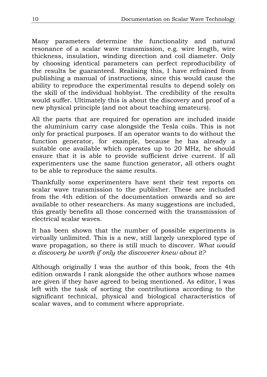Many parameters determine the functionality and natural resonance of a scalar wave transmission, e.g. wire length, wire thickness, insulation, winding direction and coil diameter. Only by choosing identical parameters can perfect reproducibility of the results be guaranteed. Realising this, I have refrained from publishing a manual of instructions, since this would cause the ability to reproduce the experimental results to depend solely on the skill of the individual hobbyist. The credibility of the results would suffer. Ultimately this is about the discovery and proof of a new physical principle (and not about teaching amateurs).

All the parts that are required for operation are included inside the aluminium carry case alongside the Tesla coils. This is not only for practical purposes. If an operator wants to do without the function generator, for example, because he has already a suitable one available which operates up to 20 MHz, he should ensure that it is able to provide sufficient drive current. If all experimenters use the same function generator, all others ought to be able to reproduce the same results.

Thankfully some experimenters have sent their test reports on scalar wave transmission to the publisher. These are included from the 4th edition of the documentation onwards and so are available to other researchers. As many suggestions are included, this greatly benefits all those concerned with the transmission of electrical scalar waves.

It has been shown that the number of possible experiments is virtually unlimited. This is a new, still largely unexplored type of wave propagation, so there is still much to discover. *What would a discovery be worth if only the discoverer knew about it?*

Although originally I was the author of this book, from the 4th edition onwards I rank alongside the other authors whose names are given if they have agreed to being mentioned. As editor, I was left with the task of sorting the contributions according to the significant technical, physical and biological characteristics of scalar waves, and to comment where appropriate.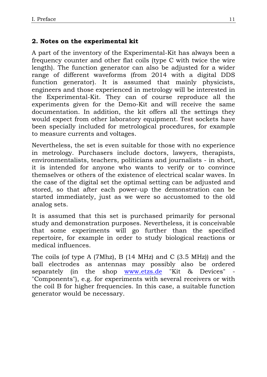#### **2. Notes on the experimental kit**

A part of the inventory of the Experimental-Kit has always been a frequency counter and other flat coils (type C with twice the wire length). The function generator can also be adjusted for a wider range of different waveforms (from 2014 with a digital DDS function generator). It is assumed that mainly physicists, engineers and those experienced in metrology will be interested in the Experimental-Kit. They can of course reproduce all the experiments given for the Demo-Kit and will receive the same documentation. In addition, the kit offers all the settings they would expect from other laboratory equipment. Test sockets have been specially included for metrological procedures, for example to measure currents and voltages.

Nevertheless, the set is even suitable for those with no experience in metrology. Purchasers include doctors, lawyers, therapists, environmentalists, teachers, politicians and journalists - in short, it is intended for anyone who wants to verify or to convince themselves or others of the existence of electrical scalar waves. In the case of the digital set the optimal setting can be adjusted and stored, so that after each power-up the demonstration can be started immediately, just as we were so accustomed to the old analog sets.

It is assumed that this set is purchased primarily for personal study and demonstration purposes. Nevertheless, it is conceivable that some experiments will go further than the specified repertoire, for example in order to study biological reactions or medical influences.

The coils (of type A (7Mhz), B (14 MHz) and C (3.5 MHz)) and the ball electrodes as antennas may possibly also be ordered separately (in the shop [www.etzs.de](http://www.etzs.de/) "Kit & Devices" - "Components"), e.g. for experiments with several receivers or with the coil B for higher frequencies. In this case, a suitable function generator would be necessary.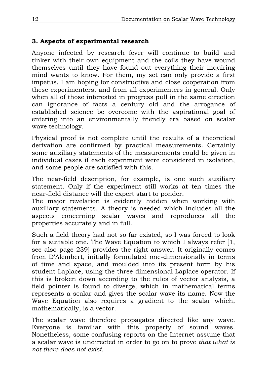#### **3. Aspects of experimental research**

Anyone infected by research fever will continue to build and tinker with their own equipment and the coils they have wound themselves until they have found out everything their inquiring mind wants to know. For them, my set can only provide a first impetus. I am hoping for constructive and close cooperation from these experimenters, and from all experimenters in general. Only when all of those interested in progress pull in the same direction can ignorance of facts a century old and the arrogance of established science be overcome with the aspirational goal of entering into an environmentally friendly era based on scalar wave technology.

Physical proof is not complete until the results of a theoretical derivation are confirmed by practical measurements. Certainly some auxiliary statements of the measurements could be given in individual cases if each experiment were considered in isolation, and some people are satisfied with this.

The near-field description, for example, is one such auxiliary statement. Only if the experiment still works at ten times the near-field distance will the expert start to ponder.

The major revelation is evidently hidden when working with auxiliary statements. A theory is needed which includes all the aspects concerning scalar waves and reproduces all the properties accurately and in full.

Such a field theory had not so far existed, so I was forced to look for a suitable one. The Wave Equation to which I always refer [1, see also page 239] provides the right answer. It originally comes from D'Alembert, initially formulated one-dimensionally in terms of time and space, and moulded into its present form by his student Laplace, using the three-dimensional Laplace operator. If this is broken down according to the rules of vector analysis, a field pointer is found to diverge, which in mathematical terms represents a scalar and gives the scalar wave its name. Now the Wave Equation also requires a gradient to the scalar which, mathematically, is a vector.

The scalar wave therefore propagates directed like any wave. Everyone is familiar with this property of sound waves. Nonetheless, some confusing reports on the Internet assume that a scalar wave is undirected in order to go on to prove *that what is not there does not exist*.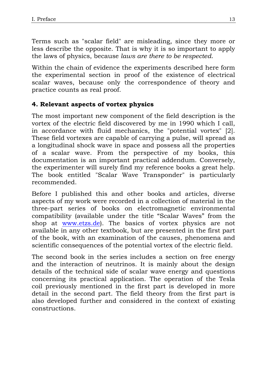Terms such as "scalar field" are misleading, since they more or less describe the opposite. That is why it is so important to apply the laws of physics, because *laws are there to be respected*.

Within the chain of evidence the experiments described here form the experimental section in proof of the existence of electrical scalar waves, because only the correspondence of theory and practice counts as real proof.

#### **4. Relevant aspects of vortex physics**

The most important new component of the field description is the vortex of the electric field discovered by me in 1990 which I call, in accordance with fluid mechanics, the "potential vortex" [2]. These field vortexes are capable of carrying a pulse, will spread as a longitudinal shock wave in space and possess all the properties of a scalar wave. From the perspective of my books, this documentation is an important practical addendum. Conversely, the experimenter will surely find my reference books a great help. The book entitled "Scalar Wave Transponder" is particularly recommended.

Before I published this and other books and articles, diverse aspects of my work were recorded in a collection of material in the three-part series of books on electromagnetic environmental compatibility (available under the title "Scalar Waves" from the shop at [www.etzs.de\)](http://www.etzs.de/). The basics of vortex physics are not available in any other textbook, but are presented in the first part of the book, with an examination of the causes, phenomena and scientific consequences of the potential vortex of the electric field.

The second book in the series includes a section on free energy and the interaction of neutrinos. It is mainly about the design details of the technical side of scalar wave energy and questions concerning its practical application. The operation of the Tesla coil previously mentioned in the first part is developed in more detail in the second part. The field theory from the first part is also developed further and considered in the context of existing constructions.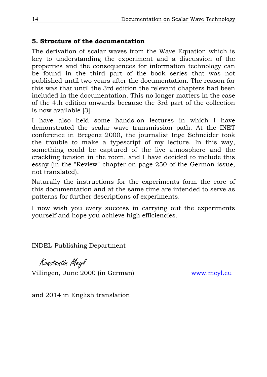#### **5. Structure of the documentation**

The derivation of scalar waves from the Wave Equation which is key to understanding the experiment and a discussion of the properties and the consequences for information technology can be found in the third part of the book series that was not published until two years after the documentation. The reason for this was that until the 3rd edition the relevant chapters had been included in the documentation. This no longer matters in the case of the 4th edition onwards because the 3rd part of the collection is now available [3].

I have also held some hands-on lectures in which I have demonstrated the scalar wave transmission path. At the INET conference in Bregenz 2000, the journalist Inge Schneider took the trouble to make a typescript of my lecture. In this way, something could be captured of the live atmosphere and the crackling tension in the room, and I have decided to include this essay (in the "Review" chapter on page 250 of the German issue, not translated).

Naturally the instructions for the experiments form the core of this documentation and at the same time are intended to serve as patterns for further descriptions of experiments.

I now wish you every success in carrying out the experiments yourself and hope you achieve high efficiencies.

INDEL-Publishing Department

 Konstantin Meyl Villingen, June 2000 (in German) [www.meyl.eu](http://www.meyl.eu/)

and 2014 in English translation